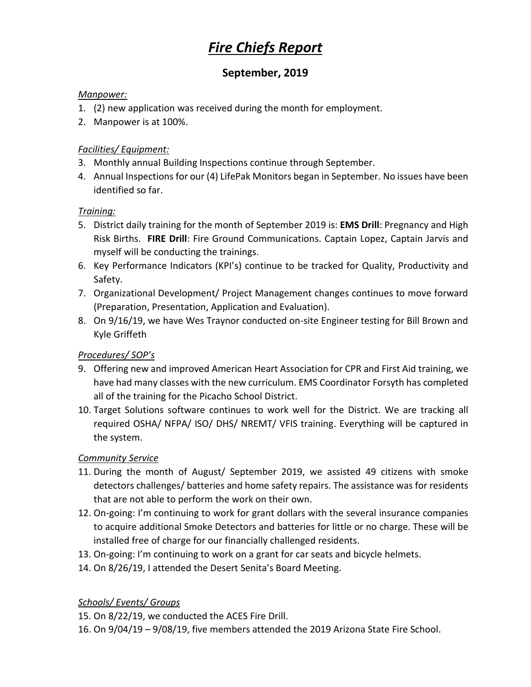# *Fire Chiefs Report*

# **September, 2019**

#### *Manpower:*

- 1. (2) new application was received during the month for employment.
- 2. Manpower is at 100%.

## *Facilities/ Equipment:*

- 3. Monthly annual Building Inspections continue through September.
- 4. Annual Inspections for our (4) LifePak Monitors began in September. No issues have been identified so far.

## *Training:*

- 5. District daily training for the month of September 2019 is: **EMS Drill**: Pregnancy and High Risk Births. **FIRE Drill**: Fire Ground Communications. Captain Lopez, Captain Jarvis and myself will be conducting the trainings.
- 6. Key Performance Indicators (KPI's) continue to be tracked for Quality, Productivity and Safety.
- 7. Organizational Development/ Project Management changes continues to move forward (Preparation, Presentation, Application and Evaluation).
- 8. On 9/16/19, we have Wes Traynor conducted on-site Engineer testing for Bill Brown and Kyle Griffeth

# *Procedures/ SOP's*

- 9. Offering new and improved American Heart Association for CPR and First Aid training, we have had many classes with the new curriculum. EMS Coordinator Forsyth has completed all of the training for the Picacho School District.
- 10. Target Solutions software continues to work well for the District. We are tracking all required OSHA/ NFPA/ ISO/ DHS/ NREMT/ VFIS training. Everything will be captured in the system.

## *Community Service*

- 11. During the month of August/ September 2019, we assisted 49 citizens with smoke detectors challenges/ batteries and home safety repairs. The assistance was for residents that are not able to perform the work on their own.
- 12. On-going: I'm continuing to work for grant dollars with the several insurance companies to acquire additional Smoke Detectors and batteries for little or no charge. These will be installed free of charge for our financially challenged residents.
- 13. On-going: I'm continuing to work on a grant for car seats and bicycle helmets.
- 14. On 8/26/19, I attended the Desert Senita's Board Meeting.

## *Schools/ Events/ Groups*

- 15. On 8/22/19, we conducted the ACES Fire Drill.
- 16. On 9/04/19 9/08/19, five members attended the 2019 Arizona State Fire School.